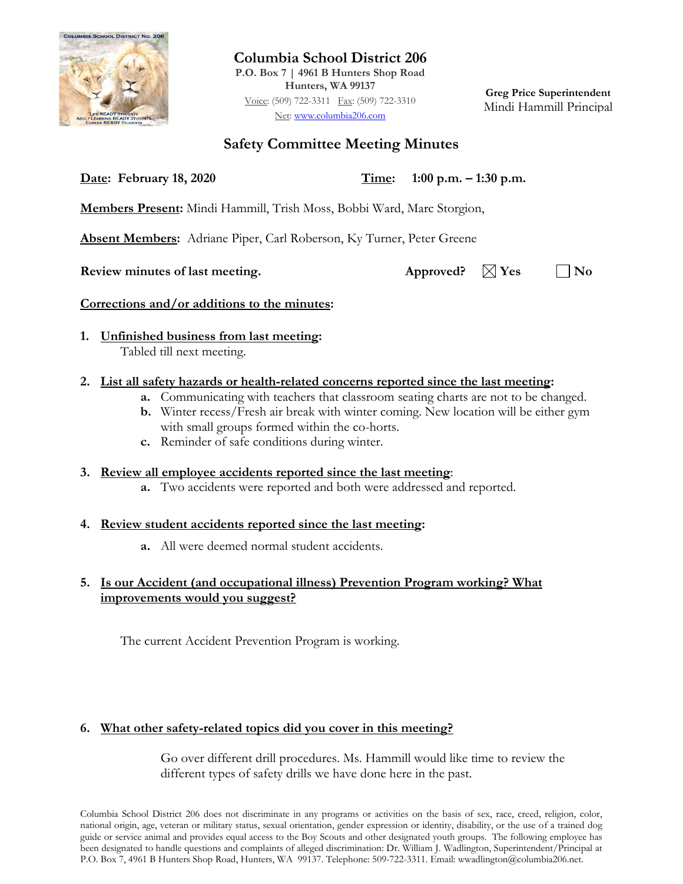

**Columbia School District 206 P.O. Box 7 | 4961 B Hunters Shop Road Hunters, WA 99137** Voice: (509) 722-3311 Fax: (509) 722-3310 Net: [www.columbia206.com](http://www.columbia206.com/)

**Greg Price Superintendent** Mindi Hammill Principal

## **Safety Committee Meeting Minutes**

**Date: February 18, 2020 Time: 1:00 p.m. – 1:30 p.m.**

**Members Present:** Mindi Hammill, Trish Moss, Bobbi Ward, Marc Storgion,

**Absent Members:** Adriane Piper, Carl Roberson, Ky Turner, Peter Greene

**Review minutes of last meeting.** Approved?  $\boxtimes$  Yes  $\Box$  No

## **Corrections and/or additions to the minutes:**

**1. Unfinished business from last meeting:**  Tabled till next meeting.

## **2. List all safety hazards or health-related concerns reported since the last meeting:**

- **a.** Communicating with teachers that classroom seating charts are not to be changed.
- **b.** Winter recess/Fresh air break with winter coming. New location will be either gym with small groups formed within the co-horts.
- **c.** Reminder of safe conditions during winter.

## **3. Review all employee accidents reported since the last meeting**:

**a.** Two accidents were reported and both were addressed and reported.

## **4. Review student accidents reported since the last meeting:**

**a.** All were deemed normal student accidents.

## **5. Is our Accident (and occupational illness) Prevention Program working? What improvements would you suggest?**

The current Accident Prevention Program is working.

## **6. What other safety-related topics did you cover in this meeting?**

Go over different drill procedures. Ms. Hammill would like time to review the different types of safety drills we have done here in the past.

Columbia School District 206 does not discriminate in any programs or activities on the basis of sex, race, creed, religion, color, national origin, age, veteran or military status, sexual orientation, gender expression or identity, disability, or the use of a trained dog guide or service animal and provides equal access to the Boy Scouts and other designated youth groups. The following employee has been designated to handle questions and complaints of alleged discrimination: Dr. William J. Wadlington, Superintendent/Principal at P.O. Box 7, 4961 B Hunters Shop Road, Hunters, WA 99137. Telephone: 509-722-3311. Email: wwadlington@columbia206.net.